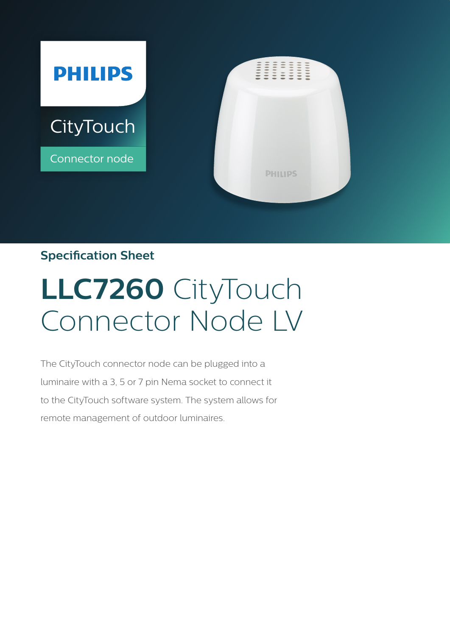

# **Specification Sheet**

# **LLC7260** CityTouch Connector Node LV

The CityTouch connector node can be plugged into a luminaire with a 3, 5 or 7 pin Nema socket to connect it to the CityTouch software system. The system allows for remote management of outdoor luminaires.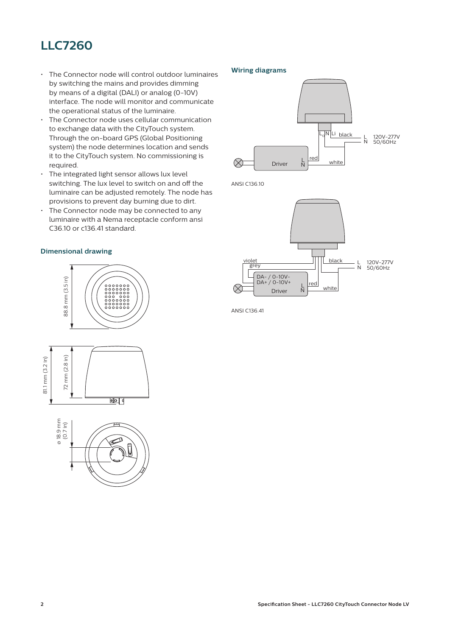# **LLC7260**

- The Connector node will control outdoor luminaires by switching the mains and provides dimming by means of a digital (DALI) or analog (0-10V) interface. The node will monitor and communicate the operational status of the luminaire.
- The Connector node uses cellular communication to exchange data with the CityTouch system. Through the on-board GPS (Global Positioning system) the node determines location and sends it to the CityTouch system. No commissioning is required.
- The integrated light sensor allows lux level switching. The lux level to switch on and off the luminaire can be adjusted remotely. The node has provisions to prevent day burning due to dirt.
- The Connector node may be connected to any luminaire with a Nema receptacle conform ansi C36.10 or c136.41 standard.

#### **Dimensional drawing**

#### **Wiring diagrams**



ANSI C136.10



ANSI C136.41





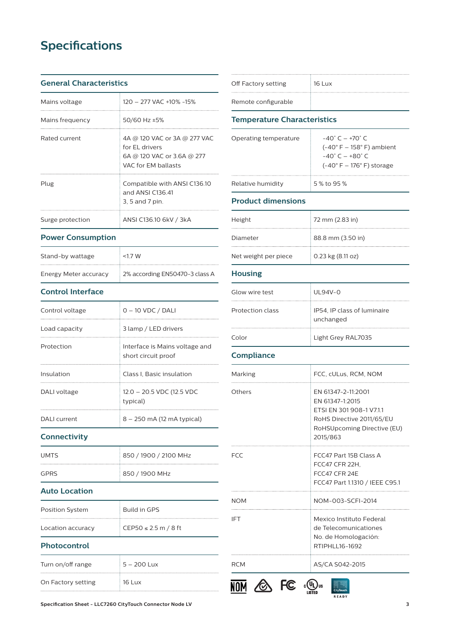# **Specifications**

#### **General Characteristics**

| Mains voltage    | 120 - 277 VAC +10% -15%                                                                             |
|------------------|-----------------------------------------------------------------------------------------------------|
| Mains frequency  | 50/60 Hz ±5%                                                                                        |
| Rated current    | 4A @ 120 VAC or 3A @ 277 VAC<br>for FL drivers<br>6A @ 120 VAC or 3.6A @ 277<br>VAC for FM ballasts |
| Plug             | Compatible with ANSI C136.10<br>and ANSI C136 41<br>3, 5 and 7 pin.                                 |
| Surge protection | ANSI C136.10 6kV / 3kA                                                                              |

#### **Power Consumption**

| Stand-by wattage      | $<17$ W                        |
|-----------------------|--------------------------------|
| Energy Meter accuracy | 2% according EN50470-3 class A |

## **Control Interface**

| Control voltage | $0 - 10$ VDC / DALI                                   |
|-----------------|-------------------------------------------------------|
| Load capacity   | 3 lamp / LED drivers                                  |
| Protection      | Interface is Mains voltage and<br>short circuit proof |
| Insulation      | Class I, Basic insulation                             |
| DALI voltage    | 12.0 - 20.5 VDC (12.5 VDC<br>typical)                 |
| DALI current    | 8 – 250 mA (12 mA typical)                            |

#### **Connectivity**

| <b>UMTS</b> | 850 / 1900 / 2100 MHz |
|-------------|-----------------------|
| GPRS        | 850 / 1900 MHz        |

#### **Auto Location**

| Position System   | Build in GPS         |
|-------------------|----------------------|
| Location accuracy | CEP50 ≤ 2.5 m / 8 ft |

## **Photocontrol**

| Turn on/off range  | $5 - 200$ Lux |
|--------------------|---------------|
| On Factory setting | $16$ Lux      |

| Off Factory setting | 16 Lux |
|---------------------|--------|
| Remote configurable |        |

#### **Temperature Characteristics**

| Operating temperature | $-40^{\circ}$ C $-$ +70 $^{\circ}$ C<br>$(-40° F - 158° F)$ ambient<br>$-40^{\circ}$ C $-+80^{\circ}$ C<br>$(-40^{\circ} F - 176^{\circ} F)$ storage |
|-----------------------|------------------------------------------------------------------------------------------------------------------------------------------------------|
| Relative humidity     | 5 % to 95 %                                                                                                                                          |

#### **Product dimensions**

| Height               | 72 mm (2.83 in)       |
|----------------------|-----------------------|
| Diameter             | 88.8 mm (3.50 in)     |
| Net weight per piece | $0.23$ kg $(8.11$ oz) |

## **Housing**

| Glow wire test   | UI 94V-0                                 |
|------------------|------------------------------------------|
| Protection class | IP54, IP class of luminaire<br>unchanged |
| Color            | Light Grey RAL7035                       |

## **Compliance**

| Marking    | FCC, cULus, RCM, NOM                                                                                                                      |  |
|------------|-------------------------------------------------------------------------------------------------------------------------------------------|--|
| Others     | EN 61347-2-11:2001<br>EN 61347-1:2015<br>ETSI EN 301 908-1 V7.1.1<br>RoHS Directive 2011/65/EU<br>RoHSUpcoming Directive (EU)<br>2015/863 |  |
| FCC        | FCC47 Part 15B Class A<br>FCC47 CFR 22H.<br>FCC47 CFR 24F<br>FCC47 Part 1.1310 / IEEE C95.1                                               |  |
| <b>NOM</b> | NOM-003-SCFI-2014                                                                                                                         |  |
| IFT        | Mexico Instituto Federal<br>de Telecomunicationes<br>No. de Homologación:<br>RTIPHI I 16-1692                                             |  |
| RCM        | AS/CA S042-2015                                                                                                                           |  |